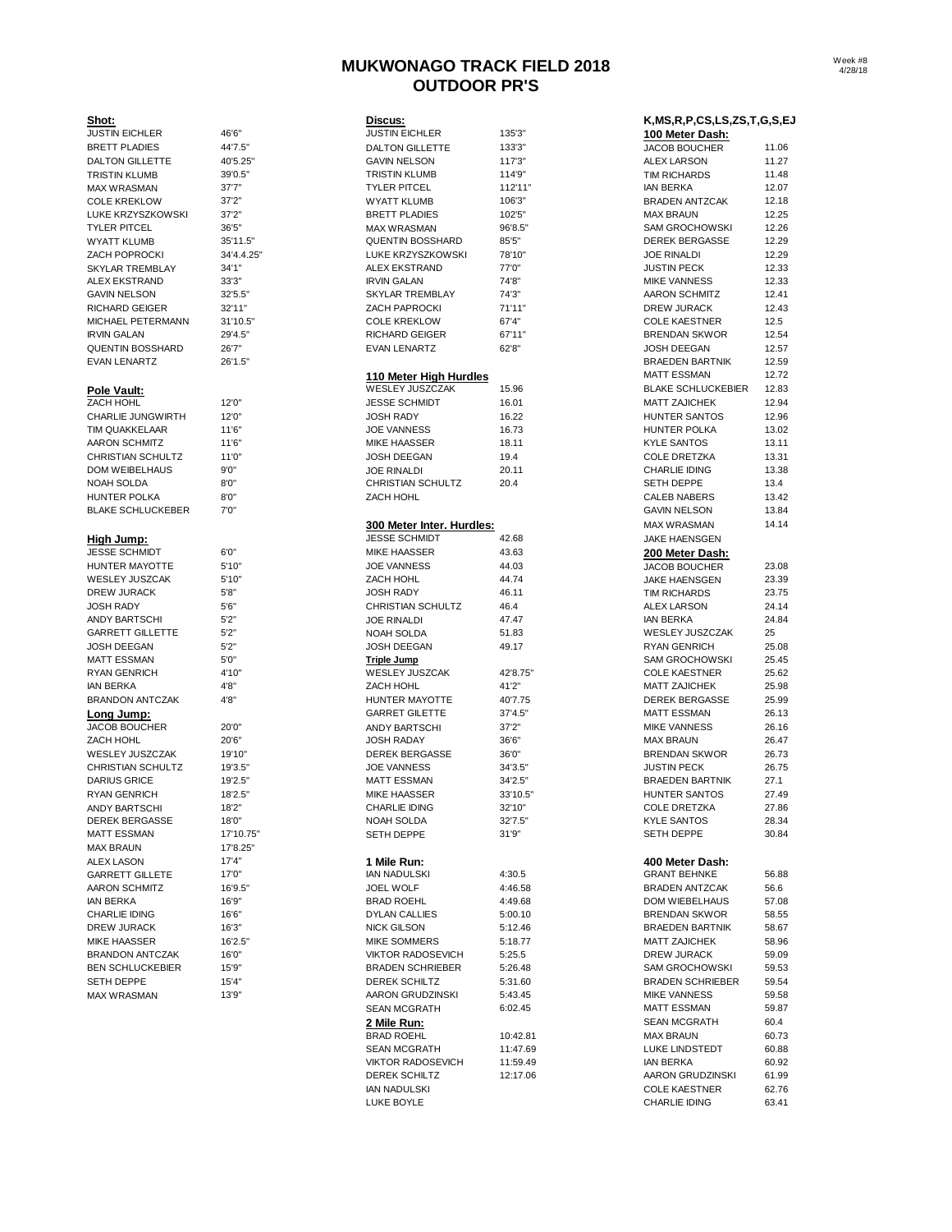# **MUKWONAGO TRACK FIELD 2018 OUTDOOR PR'S**

| Shot:                                     |                   |
|-------------------------------------------|-------------------|
| <b>JUSTIN EICHLER</b>                     | 46'6"             |
| <b>BRETT PLADIES</b>                      | 44'7.5"           |
| <b>DALTON GILLETTE</b>                    | 40'5.25"          |
| <b>TRISTIN KLUMB</b>                      | 39'0.5"           |
| <b>MAX WRASMAN</b>                        | 37'7"             |
| <b>COLE KREKLOW</b>                       | 37'2"             |
| LUKE KRZYSZKOWSKI<br><b>TYLER PITCEL</b>  | 37'2"             |
| <b>WYATT KLUMB</b>                        | 36'5"<br>35'11.5" |
| ZACH POPROCKI                             | 34'4.4.2          |
| <b>SKYLAR TREMBLAY</b>                    | 34'1"             |
| <b>ALEX EKSTRAND</b>                      | 33'3"             |
| <b>GAVIN NELSON</b>                       | 32'5.5"           |
| RICHARD GEIGER                            | 32'11"            |
| MICHAEL PETERMANN                         | 31'10.5"          |
| <b>IRVIN GALAN</b>                        | 29'4.5"           |
| <b>QUENTIN BOSSHARD</b>                   | 26'7"             |
| <b>EVAN LENARTZ</b>                       | 26'1.5"           |
|                                           |                   |
| Pole Vault:                               |                   |
| ZACH HOHL                                 | 12'0"             |
| CHARLIE JUNGWIRTH                         | 12'0"             |
| <b>TIM QUAKKELAAR</b>                     | 11'6"             |
| <b>AARON SCHMITZ</b>                      | 11'6"             |
| <b>CHRISTIAN SCHULTZ</b>                  | 11'0"             |
| <b>DOM WEIBELHAUS</b>                     | 9'0''             |
| NOAH SOLDA                                | 8'0''             |
| <b>HUNTER POLKA</b>                       | 8'0''             |
| <b>BLAKE SCHLUCKEBER</b>                  | 7'0''             |
|                                           |                   |
| <u>High Jump:</u>                         |                   |
| <b>JESSE SCHMIDT</b>                      | 6'0''             |
| HUNTER MAYOTTE                            | 5'10"             |
| WESLEY JUSZCAK                            | 5'10"             |
| DREW JURACK                               | 5'8"              |
| <b>JOSH RADY</b>                          | 5'6''             |
| <b>ANDY BARTSCHI</b>                      | 5'2"              |
| <b>GARRETT GILLETTE</b>                   | 5'2"              |
| <b>JOSH DEEGAN</b>                        | 5'2"              |
| <b>MATT ESSMAN</b>                        | 5'0"              |
| RYAN GENRICH                              | 4'10"             |
| <b>IAN BERKA</b>                          | 4'8"              |
| <b>BRANDON ANTCZAK</b>                    | 4'8"              |
| <u>Long Jump:</u><br><b>JACOB BOUCHER</b> | 20'0"             |
| ZACH HOHL                                 | 20'6"             |
| WESLEY JUSZCZAK                           | 19'10"            |
| CHRISTIAN SCHULTZ                         | 19'3.5"           |
| <b>DARIUS GRICE</b>                       | 19'2.5"           |
| RYAN GENRICH                              | 18'2.5"           |
| <b>ANDY BARTSCHI</b>                      | 18'2"             |
| <b>DEREK BERGASSE</b>                     | 18'0"             |
| <b>MATT ESSMAN</b>                        | 17'10.75          |
| <b>MAX BRAUN</b>                          | 17'8.25"          |
| <b>ALEX LASON</b>                         | 17'4"             |
| <b>GARRETT GILLETE</b>                    | 17'0"             |
| <b>AARON SCHMITZ</b>                      | 16'9.5"           |
| <b>IAN BERKA</b>                          | 16'9"             |
| <b>CHARLIE IDING</b>                      | 16'6"             |
| <b>DREW JURACK</b>                        | 16'3"             |
| <b>MIKE HAASSER</b>                       | 16'2.5"           |
| <b>BRANDON ANTCZAK</b>                    | 16'0"             |
| <b>BEN SCHLUCKEBIER</b>                   | 15'9"             |
| <b>SETH DEPPE</b>                         | 15'4"             |
| <b>MAX WRASMAN</b>                        | 13'9"             |

| <u>Shot:</u>                       |            | Discus:                                   |          | K, MS, R, P, CS, LS, ZS, T, G, S, EJ |       |
|------------------------------------|------------|-------------------------------------------|----------|--------------------------------------|-------|
| <b>JUSTIN EICHLER</b>              | 46'6"      | <b>JUSTIN EICHLER</b>                     | 135'3"   | 100 Meter Dash:                      |       |
| <b>BRETT PLADIES</b>               | 44'7.5"    | <b>DALTON GILLETTE</b>                    | 133'3"   | <b>JACOB BOUCHER</b>                 | 11.06 |
| DALTON GILLETTE                    | 40'5.25"   | <b>GAVIN NELSON</b>                       | 117'3"   | <b>ALEX LARSON</b>                   | 11.27 |
| TRISTIN KLUMB                      | 39'0.5"    | <b>TRISTIN KLUMB</b>                      | 114'9"   | <b>TIM RICHARDS</b>                  | 11.48 |
| <b>MAX WRASMAN</b>                 | 37'7''     | <b>TYLER PITCEL</b>                       | 112'11"  | <b>IAN BERKA</b>                     | 12.07 |
| <b>COLE KREKLOW</b>                | 37'2"      | <b>WYATT KLUMB</b>                        | 106'3"   | <b>BRADEN ANTZCAK</b>                | 12.18 |
| LUKE KRZYSZKOWSKI                  | 37'2"      | <b>BRETT PLADIES</b>                      | 102'5"   | <b>MAX BRAUN</b>                     | 12.25 |
| TYLER PITCEL                       | 36'5''     | <b>MAX WRASMAN</b>                        | 96'8.5"  | <b>SAM GROCHOWSKI</b>                | 12.26 |
| WYATT KLUMB                        | 35'11.5"   | <b>QUENTIN BOSSHARD</b>                   | 85'5"    | <b>DEREK BERGASSE</b>                | 12.29 |
| ZACH POPROCKI                      | 34'4.4.25" | LUKE KRZYSZKOWSKI                         | 78'10"   | <b>JOE RINALDI</b>                   | 12.29 |
| SKYLAR TREMBLAY                    | 34'1"      | <b>ALEX EKSTRAND</b>                      | 77'0"    | <b>JUSTIN PECK</b>                   | 12.33 |
| <b>ALEX EKSTRAND</b>               | 33'3"      | <b>IRVIN GALAN</b>                        | 74'8"    | <b>MIKE VANNESS</b>                  | 12.33 |
| <b>GAVIN NELSON</b>                | 32'5.5"    | SKYLAR TREMBLAY                           | 74'3"    | <b>AARON SCHMITZ</b>                 | 12.41 |
| RICHARD GEIGER                     | 32'11"     | ZACH PAPROCKI                             | 71'11"   | <b>DREW JURACK</b>                   | 12.43 |
| MICHAEL PETERMANN                  | 31'10.5"   | <b>COLE KREKLOW</b>                       | 67'4"    | <b>COLE KAESTNER</b>                 | 12.5  |
| IRVIN GALAN                        | 29'4.5"    | <b>RICHARD GEIGER</b>                     | 67'11"   | <b>BRENDAN SKWOR</b>                 | 12.54 |
| QUENTIN BOSSHARD                   | 26'7"      | <b>EVAN LENARTZ</b>                       | 62'8"    | <b>JOSH DEEGAN</b>                   | 12.57 |
| <b>EVAN LENARTZ</b>                | 26'1.5"    |                                           |          | <b>BRAEDEN BARTNIK</b>               | 12.59 |
|                                    |            |                                           |          | <b>MATT ESSMAN</b>                   | 12.72 |
|                                    |            | 110 Meter High Hurdles<br>WESLEY JUSZCZAK |          |                                      |       |
| Pole Vault:                        |            |                                           | 15.96    | <b>BLAKE SCHLUCKEBIER</b>            | 12.83 |
| ZACH HOHL                          | 12'0"      | <b>JESSE SCHMIDT</b>                      | 16.01    | <b>MATT ZAJICHEK</b>                 | 12.94 |
| CHARLIE JUNGWIRTH                  | 12'0"      | <b>JOSH RADY</b>                          | 16.22    | HUNTER SANTOS                        | 12.96 |
| TIM QUAKKELAAR                     | 11'6"      | <b>JOE VANNESS</b>                        | 16.73    | <b>HUNTER POLKA</b>                  | 13.02 |
| AARON SCHMITZ                      | 11'6"      | <b>MIKE HAASSER</b>                       | 18.11    | <b>KYLE SANTOS</b>                   | 13.11 |
| CHRISTIAN SCHULTZ                  | 11'0"      | <b>JOSH DEEGAN</b>                        | 19.4     | <b>COLE DRETZKA</b>                  | 13.31 |
| DOM WEIBELHAUS                     | 9'0''      | <b>JOE RINALDI</b>                        | 20.11    | <b>CHARLIE IDING</b>                 | 13.38 |
| NOAH SOLDA                         | 8'0''      | CHRISTIAN SCHULTZ                         | 20.4     | <b>SETH DEPPE</b>                    | 13.4  |
| <b>HUNTER POLKA</b>                | 8'0''      | ZACH HOHL                                 |          | <b>CALEB NABERS</b>                  | 13.42 |
| <b>BLAKE SCHLUCKEBER</b>           | 7'0''      |                                           |          | <b>GAVIN NELSON</b>                  | 13.84 |
|                                    |            | 300 Meter Inter. Hurdles:                 |          | <b>MAX WRASMAN</b>                   | 14.14 |
|                                    |            | <b>JESSE SCHMIDT</b>                      | 42.68    | <b>JAKE HAENSGEN</b>                 |       |
| High Jump:<br><b>JESSE SCHMIDT</b> | 6'0''      | <b>MIKE HAASSER</b>                       | 43.63    |                                      |       |
|                                    |            |                                           |          | 200 Meter Dash:                      |       |
| HUNTER MAYOTTE                     | 5'10"      | <b>JOE VANNESS</b>                        | 44.03    | JACOB BOUCHER                        | 23.08 |
| WESLEY JUSZCAK                     | 5'10"      | ZACH HOHL                                 | 44.74    | <b>JAKE HAENSGEN</b>                 | 23.39 |
| DREW JURACK                        | 5'8''      | <b>JOSH RADY</b>                          | 46.11    | <b>TIM RICHARDS</b>                  | 23.75 |
| JOSH RADY                          | 5'6''      | CHRISTIAN SCHULTZ                         | 46.4     | <b>ALEX LARSON</b>                   | 24.14 |
| ANDY BARTSCHI                      | 5'2''      | <b>JOE RINALDI</b>                        | 47.47    | <b>IAN BERKA</b>                     | 24.84 |
| <b>GARRETT GILLETTE</b>            | 5'2''      | NOAH SOLDA                                | 51.83    | WESLEY JUSZCZAK                      | 25    |
| <b>JOSH DEEGAN</b>                 | 5'2''      | JOSH DEEGAN                               | 49.17    | <b>RYAN GENRICH</b>                  | 25.08 |
| MATT ESSMAN                        | 5'0''      | <b>Triple Jump</b>                        |          | <b>SAM GROCHOWSKI</b>                | 25.45 |
| RYAN GENRICH                       | 4'10"      | <b>WESLEY JUSZCAK</b>                     | 42'8.75" | <b>COLE KAESTNER</b>                 | 25.62 |
| <b>IAN BERKA</b>                   | 4'8"       | <b>ZACH HOHL</b>                          | 41'2"    | <b>MATT ZAJICHEK</b>                 | 25.98 |
| <b>BRANDON ANTCZAK</b>             | 4'8"       | HUNTER MAYOTTE                            | 40'7.75  | DEREK BERGASSE                       | 25.99 |
| <u>Long Jump:</u>                  |            | <b>GARRET GILETTE</b>                     | 37'4.5"  | <b>MATT ESSMAN</b>                   | 26.13 |
| <b>JACOB BOUCHER</b>               | 20'0"      | ANDY BARTSCHI                             | 37'2''   | <b>MIKE VANNESS</b>                  | 26.16 |
| ZACH HOHL                          | 20'6"      | <b>JOSH RADAY</b>                         | 36'6"    | <b>MAX BRAUN</b>                     | 26.47 |
| WESLEY JUSZCZAK                    | 19'10"     | DEREK BERGASSE                            | 36'0"    | <b>BRENDAN SKWOR</b>                 | 26.73 |
| CHRISTIAN SCHULTZ                  | 19'3.5"    | <b>JOE VANNESS</b>                        | 34'3.5"  | <b>JUSTIN PECK</b>                   | 26.75 |
|                                    |            | <b>MATT ESSMAN</b>                        |          | <b>BRAEDEN BARTNIK</b>               |       |
| <b>DARIUS GRICE</b>                | 19'2.5"    |                                           | 34'2.5"  |                                      | 27.1  |
| <b>RYAN GENRICH</b>                | 18'2.5"    | <b>MIKE HAASSER</b>                       | 33'10.5" | <b>HUNTER SANTOS</b>                 | 27.49 |
| ANDY BARTSCHI                      | 18'2"      | <b>CHARLIE IDING</b>                      | 32'10"   | <b>COLE DRETZKA</b>                  | 27.86 |
| DEREK BERGASSE                     | 18'0"      | NOAH SOLDA                                | 32'7.5"  | <b>KYLE SANTOS</b>                   | 28.34 |
| MATT ESSMAN                        | 17'10.75"  | SETH DEPPE                                | 31'9''   | SETH DEPPE                           | 30.84 |
| <b>MAX BRAUN</b>                   | 17'8.25"   |                                           |          |                                      |       |
| <b>ALEX LASON</b>                  | 17'4"      | 1 Mile Run:                               |          | 400 Meter Dash:                      |       |
| <b>GARRETT GILLETE</b>             | 17'0"      | IAN NADULSKI                              | 4:30.5   | <b>GRANT BEHNKE</b>                  | 56.88 |
| AARON SCHMITZ                      | 16'9.5"    | JOEL WOLF                                 | 4:46.58  | <b>BRADEN ANTZCAK</b>                | 56.6  |
| IAN BERKA                          | 16'9"      | <b>BRAD ROEHL</b>                         | 4:49.68  | DOM WIEBELHAUS                       | 57.08 |
| CHARLIE IDING                      | 16'6"      | <b>DYLAN CALLIES</b>                      | 5:00.10  | <b>BRENDAN SKWOR</b>                 | 58.55 |
| <b>DREW JURACK</b>                 | 16'3''     | <b>NICK GILSON</b>                        | 5:12.46  | <b>BRAEDEN BARTNIK</b>               | 58.67 |
| MIKE HAASSER                       | 16'2.5"    | <b>MIKE SOMMERS</b>                       | 5:18.77  | <b>MATT ZAJICHEK</b>                 | 58.96 |
| <b>BRANDON ANTCZAK</b>             | 16'0"      | <b>VIKTOR RADOSEVICH</b>                  | 5:25.5   | <b>DREW JURACK</b>                   | 59.09 |
| BEN SCHLUCKEBIER                   | 15'9"      | <b>BRADEN SCHRIEBER</b>                   | 5:26.48  | <b>SAM GROCHOWSKI</b>                | 59.53 |
|                                    |            |                                           |          | <b>BRADEN SCHRIEBER</b>              |       |
| SETH DEPPE                         | 15'4"      | DEREK SCHILTZ                             | 5:31.60  |                                      | 59.54 |
| MAX WRASMAN                        | 13'9"      | AARON GRUDZINSKI                          | 5:43.45  | <b>MIKE VANNESS</b>                  | 59.58 |
|                                    |            | <b>SEAN MCGRATH</b>                       | 6:02.45  | <b>MATT ESSMAN</b>                   | 59.87 |
|                                    |            | 2 Mile Run:                               |          | <b>SEAN MCGRATH</b>                  | 60.4  |
|                                    |            | <b>BRAD ROEHL</b>                         | 10:42.81 | <b>MAX BRAUN</b>                     | 60.73 |
|                                    |            | <b>SEAN MCGRATH</b>                       | 11:47.69 | LUKE LINDSTEDT                       | 60.88 |
|                                    |            | <b>VIKTOR RADOSEVICH</b>                  | 11:59.49 | <b>IAN BERKA</b>                     | 60.92 |
|                                    |            | DEREK SCHILTZ                             | 12:17.06 | AARON GRUDZINSKI                     | 61.99 |
|                                    |            | <b>IAN NADULSKI</b>                       |          | <b>COLE KAESTNER</b>                 | 62.76 |
|                                    |            | <b>I LIVE DOVLE</b>                       |          | CHADLIE INING                        |       |

| Di <u>scus:</u>           |               | K, MS, R, P, CS, LS, ZS, T, G, S, E |                |
|---------------------------|---------------|-------------------------------------|----------------|
| <b>JUSTIN EICHLER</b>     | 135'3"        | 100 Meter Dash:                     |                |
| <b>DALTON GILLETTE</b>    | 133'3"        | <b>JACOB BOUCHER</b>                | 11.06          |
| <b>GAVIN NELSON</b>       | 117'3"        | <b>ALEX LARSON</b>                  | 11.27          |
| TRISTIN KLUMB             | 114'9"        | <b>TIM RICHARDS</b>                 | 11.48          |
| <b>TYLER PITCEL</b>       | 112'11"       | <b>IAN BERKA</b>                    | 12.07          |
| <b>WYATT KLUMB</b>        | 106'3"        | <b>BRADEN ANTZCAK</b>               | 12.18          |
| <b>BRETT PLADIES</b>      | 102'5"        | <b>MAX BRAUN</b>                    | 12.25          |
| <b>MAX WRASMAN</b>        | 96'8.5"       | <b>SAM GROCHOWSKI</b>               | 12.26          |
| QUENTIN BOSSHARD          | 85'5"         | <b>DEREK BERGASSE</b>               | 12.29          |
| LUKE KRZYSZKOWSKI         | 78'10"        | <b>JOE RINALDI</b>                  | 12.29          |
| <b>ALEX EKSTRAND</b>      | 77'0"         | <b>JUSTIN PECK</b>                  | 12.33          |
| <b>IRVIN GALAN</b>        | 74'8"         | <b>MIKE VANNESS</b>                 | 12.33          |
| <b>SKYLAR TREMBLAY</b>    | 74'3"         | <b>AARON SCHMITZ</b>                | 12.41          |
| <b>ZACH PAPROCKI</b>      | 71'11"        | <b>DREW JURACK</b>                  | 12.43          |
| <b>COLE KREKLOW</b>       | 67'4"         | <b>COLE KAESTNER</b>                | 12.5           |
| <b>RICHARD GEIGER</b>     | 67'11"        | <b>BRENDAN SKWOR</b>                | 12.54          |
| EVAN LENARTZ              | 62'8"         | <b>JOSH DEEGAN</b>                  | 12.57          |
|                           |               | <b>BRAEDEN BARTNIK</b>              | 12.59          |
| 110 Meter High Hurdles    |               | <b>MATT ESSMAN</b>                  | 12.72          |
| WESLEY JUSZCZAK           | 15.96         | <b>BLAKE SCHLUCKEBIER</b>           | 12.83          |
| JESSE SCHMIDT             | 16.01         | <b>MATT ZAJICHEK</b>                | 12.94          |
| JOSH RADY                 |               | <b>HUNTER SANTOS</b>                | 12.96          |
| <b>JOE VANNESS</b>        | 16.22         | <b>HUNTER POLKA</b>                 |                |
|                           | 16.73         |                                     | 13.02          |
| <b>MIKE HAASSER</b>       | 18.11<br>19.4 | <b>KYLE SANTOS</b>                  | 13.11<br>13.31 |
| <b>JOSH DEEGAN</b>        |               | <b>COLE DRETZKA</b>                 |                |
| <b>JOE RINALDI</b>        | 20.11         | <b>CHARLIE IDING</b>                | 13.38          |
| <b>CHRISTIAN SCHULTZ</b>  | 20.4          | <b>SETH DEPPE</b>                   | 13.4           |
| <b>ZACH HOHL</b>          |               | <b>CALEB NABERS</b>                 | 13.42          |
|                           |               | <b>GAVIN NELSON</b>                 | 13.84          |
| 300 Meter Inter. Hurdles: |               | <b>MAX WRASMAN</b>                  | 14.14          |
| <b>JESSE SCHMIDT</b>      | 42.68         | <b>JAKE HAENSGEN</b>                |                |
| MIKE HAASSER              | 43.63         | 200 Meter Dash:                     |                |
| <b>JOE VANNESS</b>        | 44.03         | <b>JACOB BOUCHER</b>                | 23.08          |
| <b>ZACH HOHL</b>          | 44.74         | <b>JAKE HAENSGEN</b>                | 23.39          |
| JOSH RADY                 | 46.11         | <b>TIM RICHARDS</b>                 | 23.75          |
| <b>CHRISTIAN SCHULTZ</b>  | 46.4          | <b>ALEX LARSON</b>                  | 24.14          |
| JOE RINALDI               | 47.47         | <b>IAN BERKA</b>                    | 24.84          |
| NOAH SOLDA                | 51.83         | <b>WESLEY JUSZCZAK</b>              | 25             |
| JOSH DEEGAN               | 49.17         | <b>RYAN GENRICH</b>                 | 25.08          |
| <b>Triple Jump</b>        |               | <b>SAM GROCHOWSKI</b>               | 25.45          |
| <b>WESLEY JUSZCAK</b>     | 42'8.75"      | <b>COLE KAESTNER</b>                | 25.62          |
| <b>ZACH HOHL</b>          | 41'2"         | <b>MATT ZAJICHEK</b>                | 25.98          |
| HUNTER MAYOTTE            | 40'7.75       | <b>DEREK BERGASSE</b>               | 25.99          |
| <b>GARRET GILETTE</b>     | 37'4.5"       | <b>MATT ESSMAN</b>                  | 26.13          |
| <b>ANDY BARTSCHI</b>      | 37'2''        | <b>MIKE VANNESS</b>                 | 26.16          |
| JOSH RADAY                | 36'6"         | <b>MAX BRAUN</b>                    | 26.47          |
| <b>DEREK BERGASSE</b>     | 36'0"         | <b>BRENDAN SKWOR</b>                | 26.73          |
| <b>JOE VANNESS</b>        | 34'3.5"       | <b>JUSTIN PECK</b>                  | 26.75          |
| <b>MATT ESSMAN</b>        | 34'2.5"       | <b>BRAEDEN BARTNIK</b>              | 27.1           |
| <b>MIKE HAASSER</b>       | 33'10.5"      | HUNTER SANTOS                       | 27.49          |
| <b>CHARLIE IDING</b>      | 32'10"        | <b>COLE DRETZKA</b>                 | 27.86          |
| NOAH SOLDA                | 32'7.5"       | <b>KYLE SANTOS</b>                  | 28.34          |
| <b>SETH DEPPE</b>         | 31'9"         | <b>SETH DEPPE</b>                   | 30.84          |
|                           |               |                                     |                |
| 1 Mile Run:               |               | 400 Meter Dash:                     |                |
| <b>IAN NADULSKI</b>       | 4:30.5        | <b>GRANT BEHNKE</b>                 | 56.88          |
| JOEL WOLF                 | 4:46.58       | <b>BRADEN ANTZCAK</b>               | 56.6           |
| <b>BRAD ROEHL</b>         | 4:49.68       | DOM WIEBELHAUS                      | 57.08          |
| <b>DYLAN CALLIES</b>      | 5:00.10       | <b>BRENDAN SKWOR</b>                | 58.55          |
| <b>NICK GILSON</b>        | 5:12.46       | <b>BRAEDEN BARTNIK</b>              | 58.67          |
| <b>MIKE SOMMERS</b>       | 5:18.77       | <b>MATT ZAJICHEK</b>                | 58.96          |
| <b>VIKTOR RADOSEVICH</b>  | 5:25.5        | <b>DREW JURACK</b>                  | 59.09          |
| <b>BRADEN SCHRIEBER</b>   | 5:26.48       | <b>SAM GROCHOWSKI</b>               | 59.53          |
| <b>DEREK SCHILTZ</b>      | 5:31.60       | <b>BRADEN SCHRIEBER</b>             | 59.54          |
| AARON GRUDZINSKI          | 5:43.45       | <b>MIKE VANNESS</b>                 | 59.58          |
| <b>SEAN MCGRATH</b>       | 6:02.45       | <b>MATT ESSMAN</b>                  | 59.87          |
| 2 Mile Run:               |               | <b>SEAN MCGRATH</b>                 | 60.4           |
| <b>BRAD ROEHL</b>         | 10:42.81      | <b>MAX BRAUN</b>                    | 60.73          |
| <b>SEAN MCGRATH</b>       | 11:47.69      | LUKE LINDSTEDT                      | 60.88          |
| <b>VIKTOR RADOSEVICH</b>  | 11:59.49      | <b>IAN BERKA</b>                    | 60.92          |
| <b>DEREK SCHILTZ</b>      | 12:17.06      | AARON GRUDZINSKI                    | 61.99          |
| <b>IAN NADULSKI</b>       |               | <b>COLE KAESTNER</b>                | 62.76          |
| <b>LUKE BOYLE</b>         |               | <b>CHARLIE IDING</b>                | 63.41          |
|                           |               |                                     |                |